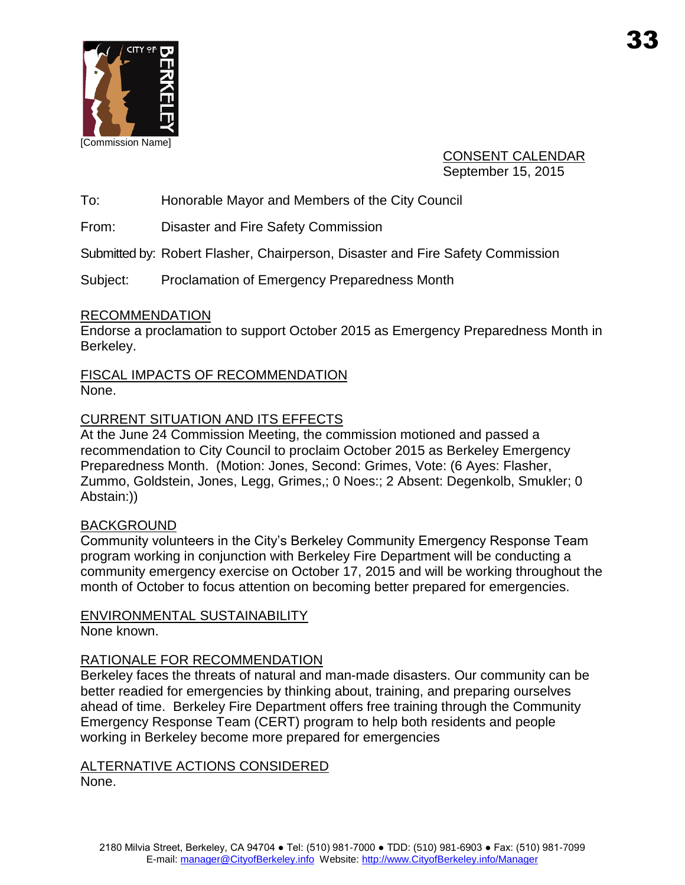

CONSENT CALENDAR September 15, 2015

To: Honorable Mayor and Members of the City Council

From: Disaster and Fire Safety Commission

Submitted by: Robert Flasher, Chairperson, Disaster and Fire Safety Commission

Subject: Proclamation of Emergency Preparedness Month

### **RECOMMENDATION**

Endorse a proclamation to support October 2015 as Emergency Preparedness Month in Berkeley.

FISCAL IMPACTS OF RECOMMENDATION None.

## CURRENT SITUATION AND ITS EFFECTS

At the June 24 Commission Meeting, the commission motioned and passed a recommendation to City Council to proclaim October 2015 as Berkeley Emergency Preparedness Month. (Motion: Jones, Second: Grimes, Vote: (6 Ayes: Flasher, Zummo, Goldstein, Jones, Legg, Grimes,; 0 Noes:; 2 Absent: Degenkolb, Smukler; 0 Abstain:))

### BACKGROUND

Community volunteers in the City's Berkeley Community Emergency Response Team program working in conjunction with Berkeley Fire Department will be conducting a community emergency exercise on October 17, 2015 and will be working throughout the month of October to focus attention on becoming better prepared for emergencies.

### ENVIRONMENTAL SUSTAINABILITY

None known.

### RATIONALE FOR RECOMMENDATION

Berkeley faces the threats of natural and man-made disasters. Our community can be better readied for emergencies by thinking about, training, and preparing ourselves ahead of time. Berkeley Fire Department offers free training through the Community Emergency Response Team (CERT) program to help both residents and people working in Berkeley become more prepared for emergencies

### ALTERNATIVE ACTIONS CONSIDERED

None.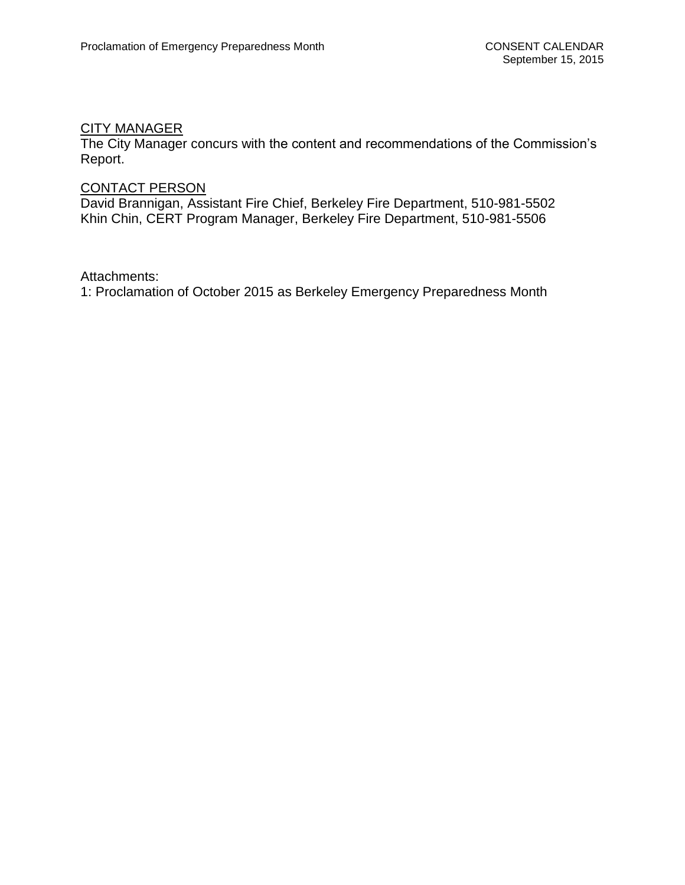#### CITY MANAGER

The City Manager concurs with the content and recommendations of the Commission's Report.

# CONTACT PERSON

David Brannigan, Assistant Fire Chief, Berkeley Fire Department, 510-981-5502 Khin Chin, CERT Program Manager, Berkeley Fire Department, 510-981-5506

Attachments:

1: Proclamation of October 2015 as Berkeley Emergency Preparedness Month